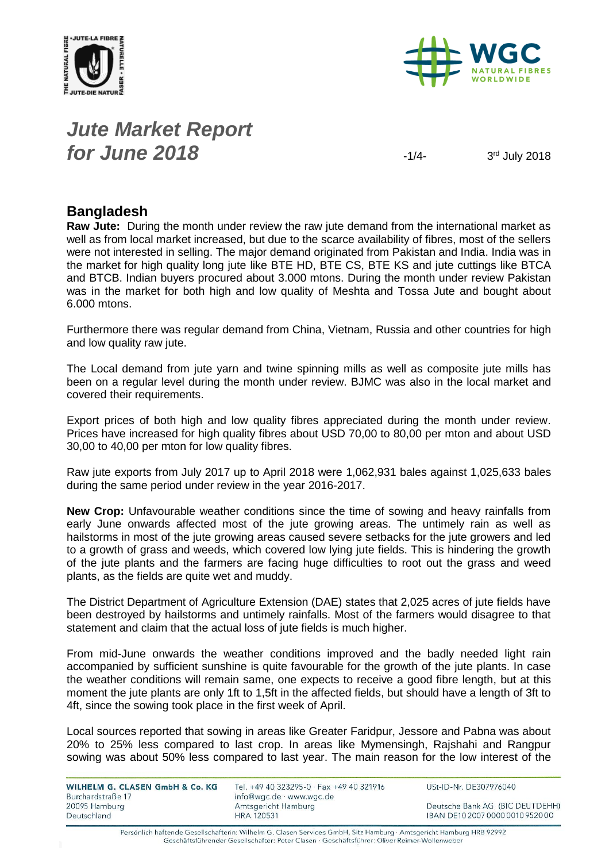



## *Jute Market Report for June 2018*  $\frac{1}{4}$

3rd July 2018

### **Bangladesh**

**Raw Jute:** During the month under review the raw jute demand from the international market as well as from local market increased, but due to the scarce availability of fibres, most of the sellers were not interested in selling. The major demand originated from Pakistan and India. India was in the market for high quality long jute like BTE HD, BTE CS, BTE KS and jute cuttings like BTCA and BTCB. Indian buyers procured about 3.000 mtons. During the month under review Pakistan was in the market for both high and low quality of Meshta and Tossa Jute and bought about 6.000 mtons.

Furthermore there was regular demand from China, Vietnam, Russia and other countries for high and low quality raw jute.

The Local demand from jute yarn and twine spinning mills as well as composite jute mills has been on a regular level during the month under review. BJMC was also in the local market and covered their requirements.

Export prices of both high and low quality fibres appreciated during the month under review. Prices have increased for high quality fibres about USD 70,00 to 80,00 per mton and about USD 30,00 to 40,00 per mton for low quality fibres.

Raw jute exports from July 2017 up to April 2018 were 1,062,931 bales against 1,025,633 bales during the same period under review in the year 2016-2017.

**New Crop:** Unfavourable weather conditions since the time of sowing and heavy rainfalls from early June onwards affected most of the jute growing areas. The untimely rain as well as hailstorms in most of the jute growing areas caused severe setbacks for the jute growers and led to a growth of grass and weeds, which covered low lying jute fields. This is hindering the growth of the jute plants and the farmers are facing huge difficulties to root out the grass and weed plants, as the fields are quite wet and muddy.

The District Department of Agriculture Extension (DAE) states that 2,025 acres of jute fields have been destroyed by hailstorms and untimely rainfalls. Most of the farmers would disagree to that statement and claim that the actual loss of jute fields is much higher.

From mid-June onwards the weather conditions improved and the badly needed light rain accompanied by sufficient sunshine is quite favourable for the growth of the jute plants. In case the weather conditions will remain same, one expects to receive a good fibre length, but at this moment the jute plants are only 1ft to 1,5ft in the affected fields, but should have a length of 3ft to 4ft, since the sowing took place in the first week of April.

Local sources reported that sowing in areas like Greater Faridpur, Jessore and Pabna was about 20% to 25% less compared to last crop. In areas like Mymensingh, Rajshahi and Rangpur sowing was about 50% less compared to last year. The main reason for the low interest of the

| WILHELM G. CLASEN GmbH & Co. KG<br>Burchardstraße 17 | Tel. +49 40 323295-0 · Fax +49 40 321916<br>info@wgc.de · www.wgc.de | USt-ID-Nr. DE307976040           |
|------------------------------------------------------|----------------------------------------------------------------------|----------------------------------|
| 20095 Hamburg                                        | Amtsgericht Hamburg                                                  | Deutsche Bank AG (BIC DEUTDEHH)  |
| Deutschland                                          | <b>HRA 120531</b>                                                    | IBAN DE10 2007 0000 0010 9520 00 |

Persönlich haftende Gesellschafterin: Wilhelm G. Clasen Services GmbH, Sitz Hamburg · Amtsgericht Hamburg HRB 92992 Geschäftsführender Gesellschafter: Peter Clasen · Geschäftsführer: Oliver Reimer-Wollenweber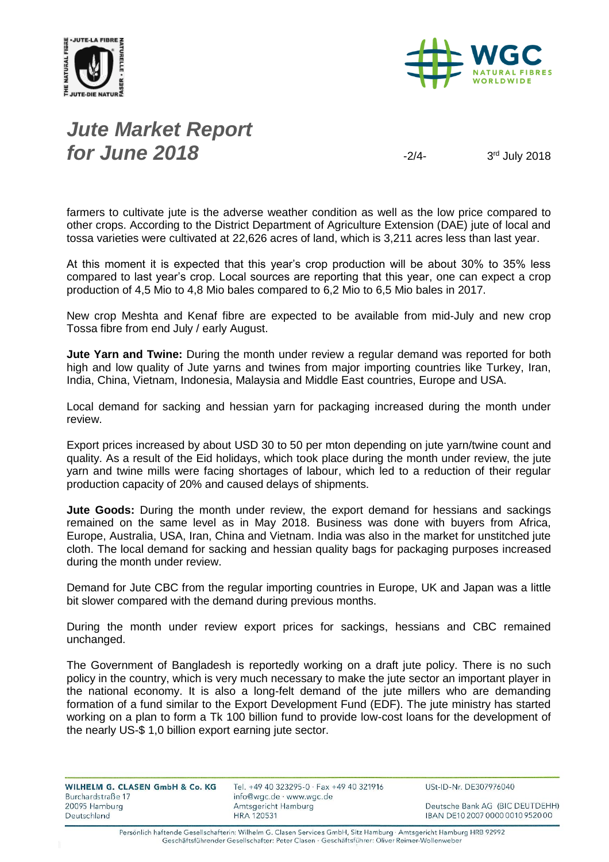



## *Jute Market Report for June 2018*  $\frac{1}{2}$

3rd July 2018

farmers to cultivate jute is the adverse weather condition as well as the low price compared to other crops. According to the District Department of Agriculture Extension (DAE) jute of local and tossa varieties were cultivated at 22,626 acres of land, which is 3,211 acres less than last year.

At this moment it is expected that this year's crop production will be about 30% to 35% less compared to last year's crop. Local sources are reporting that this year, one can expect a crop production of 4,5 Mio to 4,8 Mio bales compared to 6,2 Mio to 6,5 Mio bales in 2017.

New crop Meshta and Kenaf fibre are expected to be available from mid-July and new crop Tossa fibre from end July / early August.

**Jute Yarn and Twine:** During the month under review a regular demand was reported for both high and low quality of Jute yarns and twines from major importing countries like Turkey, Iran, India, China, Vietnam, Indonesia, Malaysia and Middle East countries, Europe and USA.

Local demand for sacking and hessian yarn for packaging increased during the month under review.

Export prices increased by about USD 30 to 50 per mton depending on jute yarn/twine count and quality. As a result of the Eid holidays, which took place during the month under review, the jute yarn and twine mills were facing shortages of labour, which led to a reduction of their regular production capacity of 20% and caused delays of shipments.

**Jute Goods:** During the month under review, the export demand for hessians and sackings remained on the same level as in May 2018. Business was done with buyers from Africa, Europe, Australia, USA, Iran, China and Vietnam. India was also in the market for unstitched jute cloth. The local demand for sacking and hessian quality bags for packaging purposes increased during the month under review.

Demand for Jute CBC from the regular importing countries in Europe, UK and Japan was a little bit slower compared with the demand during previous months.

During the month under review export prices for sackings, hessians and CBC remained unchanged.

The Government of Bangladesh is reportedly working on a draft jute policy. There is no such policy in the country, which is very much necessary to make the jute sector an important player in the national economy. It is also a long-felt demand of the jute millers who are demanding formation of a fund similar to the Export Development Fund (EDF). The jute ministry has started working on a plan to form a Tk 100 billion fund to provide low-cost loans for the development of the nearly US-\$ 1,0 billion export earning jute sector.

| WILHELM G. CLASEN GmbH & Co. KG    | Tel. +49 40 323295-0 · Fax +49 40 321916        | USt-ID-Nr. DE307976040           |
|------------------------------------|-------------------------------------------------|----------------------------------|
| Burchardstraße 17<br>20095 Hamburg | info@wgc.de · www.wgc.de<br>Amtsgericht Hamburg | Deutsche Bank AG (BIC DEUTDEHH)  |
| Deutschland                        | <b>HRA 120531</b>                               | IBAN DE10 2007 0000 0010 9520 00 |

Persönlich haftende Gesellschafterin: Wilhelm G. Clasen Services GmbH, Sitz Hamburg · Amtsgericht Hamburg HRB 92992 Geschäftsführender Gesellschafter: Peter Clasen · Geschäftsführer: Oliver Reimer-Wollenweber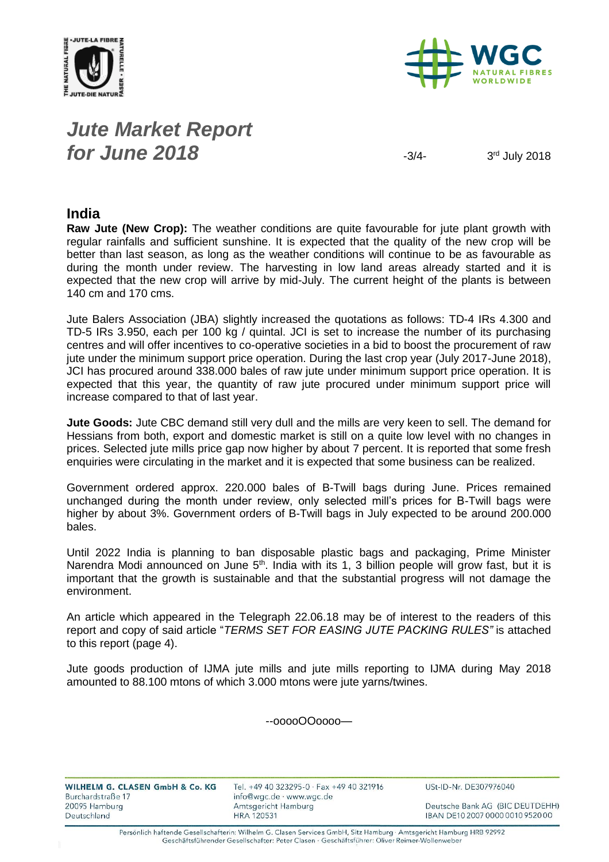



## *Jute Market Report for June 2018*  $\frac{3}{4}$

3rd July 2018

#### **India**

**Raw Jute (New Crop):** The weather conditions are quite favourable for jute plant growth with regular rainfalls and sufficient sunshine. It is expected that the quality of the new crop will be better than last season, as long as the weather conditions will continue to be as favourable as during the month under review. The harvesting in low land areas already started and it is expected that the new crop will arrive by mid-July. The current height of the plants is between 140 cm and 170 cms.

Jute Balers Association (JBA) slightly increased the quotations as follows: TD-4 IRs 4.300 and TD-5 IRs 3.950, each per 100 kg / quintal. JCI is set to increase the number of its purchasing centres and will offer incentives to co-operative societies in a bid to boost the procurement of raw jute under the minimum support price operation. During the last crop year (July 2017-June 2018), JCI has procured around 338.000 bales of raw jute under minimum support price operation. It is expected that this year, the quantity of raw jute procured under minimum support price will increase compared to that of last year.

**Jute Goods:** Jute CBC demand still very dull and the mills are very keen to sell. The demand for Hessians from both, export and domestic market is still on a quite low level with no changes in prices. Selected jute mills price gap now higher by about 7 percent. It is reported that some fresh enquiries were circulating in the market and it is expected that some business can be realized.

Government ordered approx. 220.000 bales of B-Twill bags during June. Prices remained unchanged during the month under review, only selected mill's prices for B-Twill bags were higher by about 3%. Government orders of B-Twill bags in July expected to be around 200.000 bales.

Until 2022 India is planning to ban disposable plastic bags and packaging, Prime Minister Narendra Modi announced on June  $5<sup>th</sup>$ . India with its 1, 3 billion people will grow fast, but it is important that the growth is sustainable and that the substantial progress will not damage the environment.

An article which appeared in the Telegraph 22.06.18 may be of interest to the readers of this report and copy of said article "*TERMS SET FOR EASING JUTE PACKING RULES"* is attached to this report (page 4).

Jute goods production of IJMA jute mills and jute mills reporting to IJMA during May 2018 amounted to 88.100 mtons of which 3.000 mtons were jute yarns/twines.

--ooooOOoooo—

| WILHELM G. CLASEN GmbH & Co. KG | Tel. +49 40 323295-0 · Fax +49 40 321916 | USt-ID-Nr. DE307976040           |
|---------------------------------|------------------------------------------|----------------------------------|
| Burchardstraße 17               | info@wgc.de · www.wgc.de                 |                                  |
| 20095 Hamburg                   | Amtsgericht Hamburg                      | Deutsche Bank AG (BIC DEUTDEHH)  |
| Deutschland                     | HRA 120531                               | IBAN DE10 2007 0000 0010 9520 00 |

Persönlich haftende Gesellschafterin: Wilhelm G. Clasen Services GmbH, Sitz Hamburg · Amtsgericht Hamburg HRB 92992 Geschäftsführender Gesellschafter: Peter Clasen · Geschäftsführer: Oliver Reimer-Wollenweber